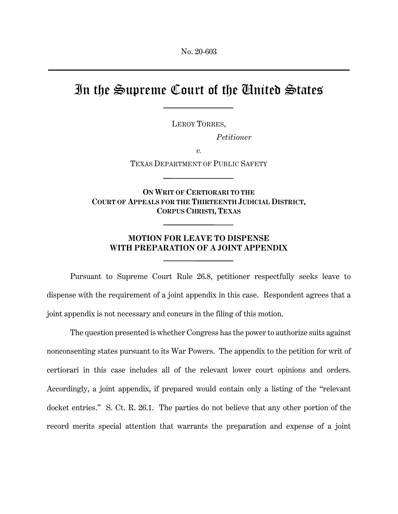## In the Supreme Court of the United States

LEROY TORRES,

*Petitioner*

*v.* 

TEXAS DEPARTMENT OF PUBLIC SAFETY

**ON WRIT OF CERTIORARI TO THE COURT OF APPEALS FOR THE THIRTEENTH JUDICIAL DISTRICT, CORPUS CHRISTI, TEXAS**

## **MOTION FOR LEAVE TO DISPENSE WITH PREPARATION OF A JOINT APPENDIX**

 Pursuant to Supreme Court Rule 26.8, petitioner respectfully seeks leave to dispense with the requirement of a joint appendix in this case. Respondent agrees that a joint appendix is not necessary and concurs in the filing of this motion.

 The question presented is whether Congress has the power to authorize suits against nonconsenting states pursuant to its War Powers. The appendix to the petition for writ of certiorari in this case includes all of the relevant lower court opinions and orders. Accordingly, a joint appendix, if prepared would contain only a listing of the "relevant docket entries." S. Ct. R. 26.1. The parties do not believe that any other portion of the record merits special attention that warrants the preparation and expense of a joint